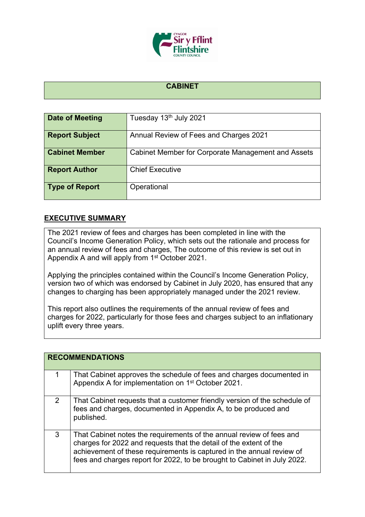

## **CABINET**

| Date of Meeting       | Tuesday 13th July 2021                             |
|-----------------------|----------------------------------------------------|
| <b>Report Subject</b> | Annual Review of Fees and Charges 2021             |
| <b>Cabinet Member</b> | Cabinet Member for Corporate Management and Assets |
| <b>Report Author</b>  | <b>Chief Executive</b>                             |
| <b>Type of Report</b> | Operational                                        |

## **EXECUTIVE SUMMARY**

The 2021 review of fees and charges has been completed in line with the Council's Income Generation Policy, which sets out the rationale and process for an annual review of fees and charges, The outcome of this review is set out in Appendix A and will apply from 1<sup>st</sup> October 2021.

Applying the principles contained within the Council's Income Generation Policy, version two of which was endorsed by Cabinet in July 2020, has ensured that any changes to charging has been appropriately managed under the 2021 review.

This report also outlines the requirements of the annual review of fees and charges for 2022, particularly for those fees and charges subject to an inflationary uplift every three years.

|   | <b>RECOMMENDATIONS</b>                                                                                                                                                                                                                                                                          |  |  |
|---|-------------------------------------------------------------------------------------------------------------------------------------------------------------------------------------------------------------------------------------------------------------------------------------------------|--|--|
| 1 | That Cabinet approves the schedule of fees and charges documented in<br>Appendix A for implementation on 1 <sup>st</sup> October 2021.                                                                                                                                                          |  |  |
| 2 | That Cabinet requests that a customer friendly version of the schedule of<br>fees and charges, documented in Appendix A, to be produced and<br>published.                                                                                                                                       |  |  |
| 3 | That Cabinet notes the requirements of the annual review of fees and<br>charges for 2022 and requests that the detail of the extent of the<br>achievement of these requirements is captured in the annual review of<br>fees and charges report for 2022, to be brought to Cabinet in July 2022. |  |  |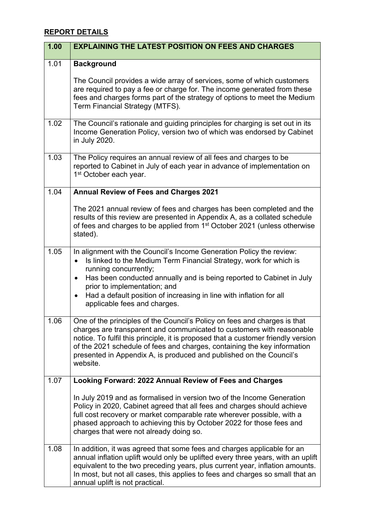## **REPORT DETAILS**

| 1.00 | <b>EXPLAINING THE LATEST POSITION ON FEES AND CHARGES</b>                                                                                                                                                                                                                                                                                                                                              |
|------|--------------------------------------------------------------------------------------------------------------------------------------------------------------------------------------------------------------------------------------------------------------------------------------------------------------------------------------------------------------------------------------------------------|
| 1.01 | <b>Background</b><br>The Council provides a wide array of services, some of which customers<br>are required to pay a fee or charge for. The income generated from these                                                                                                                                                                                                                                |
|      | fees and charges forms part of the strategy of options to meet the Medium<br>Term Financial Strategy (MTFS).                                                                                                                                                                                                                                                                                           |
| 1.02 | The Council's rationale and guiding principles for charging is set out in its<br>Income Generation Policy, version two of which was endorsed by Cabinet<br>in July 2020.                                                                                                                                                                                                                               |
| 1.03 | The Policy requires an annual review of all fees and charges to be<br>reported to Cabinet in July of each year in advance of implementation on<br>1 <sup>st</sup> October each year.                                                                                                                                                                                                                   |
| 1.04 | <b>Annual Review of Fees and Charges 2021</b>                                                                                                                                                                                                                                                                                                                                                          |
|      | The 2021 annual review of fees and charges has been completed and the<br>results of this review are presented in Appendix A, as a collated schedule<br>of fees and charges to be applied from 1 <sup>st</sup> October 2021 (unless otherwise<br>stated).                                                                                                                                               |
| 1.05 | In alignment with the Council's Income Generation Policy the review:<br>Is linked to the Medium Term Financial Strategy, work for which is<br>$\bullet$<br>running concurrently;<br>Has been conducted annually and is being reported to Cabinet in July<br>$\bullet$                                                                                                                                  |
|      | prior to implementation; and<br>Had a default position of increasing in line with inflation for all<br>$\bullet$<br>applicable fees and charges.                                                                                                                                                                                                                                                       |
| 1.06 | One of the principles of the Council's Policy on fees and charges is that<br>charges are transparent and communicated to customers with reasonable<br>notice. To fulfil this principle, it is proposed that a customer friendly version<br>of the 2021 schedule of fees and charges, containing the key information<br>presented in Appendix A, is produced and published on the Council's<br>website. |
| 1.07 | Looking Forward: 2022 Annual Review of Fees and Charges                                                                                                                                                                                                                                                                                                                                                |
|      | In July 2019 and as formalised in version two of the Income Generation<br>Policy in 2020, Cabinet agreed that all fees and charges should achieve<br>full cost recovery or market comparable rate wherever possible, with a<br>phased approach to achieving this by October 2022 for those fees and<br>charges that were not already doing so.                                                         |
| 1.08 | In addition, it was agreed that some fees and charges applicable for an<br>annual inflation uplift would only be uplifted every three years, with an uplift<br>equivalent to the two preceding years, plus current year, inflation amounts.<br>In most, but not all cases, this applies to fees and charges so small that an<br>annual uplift is not practical.                                        |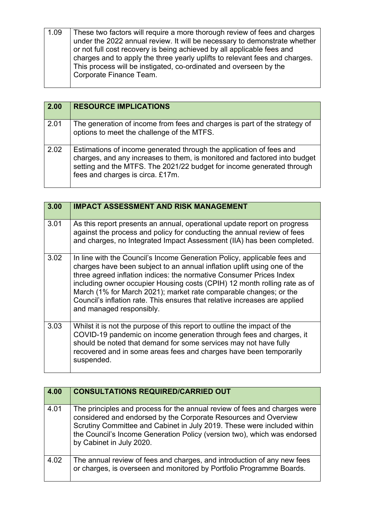| These two factors will require a more thorough review of fees and charges   |
|-----------------------------------------------------------------------------|
| under the 2022 annual review. It will be necessary to demonstrate whether   |
| or not full cost recovery is being achieved by all applicable fees and      |
| charges and to apply the three yearly uplifts to relevant fees and charges. |
| This process will be instigated, co-ordinated and overseen by the           |
| Corporate Finance Team.                                                     |
|                                                                             |

| 2.00 | <b>RESOURCE IMPLICATIONS</b>                                                                                                                                                                                                                                  |
|------|---------------------------------------------------------------------------------------------------------------------------------------------------------------------------------------------------------------------------------------------------------------|
| 2.01 | The generation of income from fees and charges is part of the strategy of<br>options to meet the challenge of the MTFS.                                                                                                                                       |
| 2.02 | Estimations of income generated through the application of fees and<br>charges, and any increases to them, is monitored and factored into budget<br>setting and the MTFS. The 2021/22 budget for income generated through<br>fees and charges is circa. £17m. |

| 3.00 | <b>IMPACT ASSESSMENT AND RISK MANAGEMENT</b>                                                                                                                                                                                                                                                                                                                                                                                                                                            |
|------|-----------------------------------------------------------------------------------------------------------------------------------------------------------------------------------------------------------------------------------------------------------------------------------------------------------------------------------------------------------------------------------------------------------------------------------------------------------------------------------------|
| 3.01 | As this report presents an annual, operational update report on progress<br>against the process and policy for conducting the annual review of fees<br>and charges, no Integrated Impact Assessment (IIA) has been completed.                                                                                                                                                                                                                                                           |
| 3.02 | In line with the Council's Income Generation Policy, applicable fees and<br>charges have been subject to an annual inflation uplift using one of the<br>three agreed inflation indices: the normative Consumer Prices Index<br>including owner occupier Housing costs (CPIH) 12 month rolling rate as of<br>March (1% for March 2021); market rate comparable changes; or the<br>Council's inflation rate. This ensures that relative increases are applied<br>and managed responsibly. |
| 3.03 | Whilst it is not the purpose of this report to outline the impact of the<br>COVID-19 pandemic on income generation through fees and charges, it<br>should be noted that demand for some services may not have fully<br>recovered and in some areas fees and charges have been temporarily<br>suspended.                                                                                                                                                                                 |

| 4.00 | <b>CONSULTATIONS REQUIRED/CARRIED OUT</b>                                                                                                                                                                                                                                                                                       |
|------|---------------------------------------------------------------------------------------------------------------------------------------------------------------------------------------------------------------------------------------------------------------------------------------------------------------------------------|
| 4.01 | The principles and process for the annual review of fees and charges were<br>considered and endorsed by the Corporate Resources and Overview<br>Scrutiny Committee and Cabinet in July 2019. These were included within<br>the Council's Income Generation Policy (version two), which was endorsed<br>by Cabinet in July 2020. |
| 4.02 | The annual review of fees and charges, and introduction of any new fees<br>or charges, is overseen and monitored by Portfolio Programme Boards.                                                                                                                                                                                 |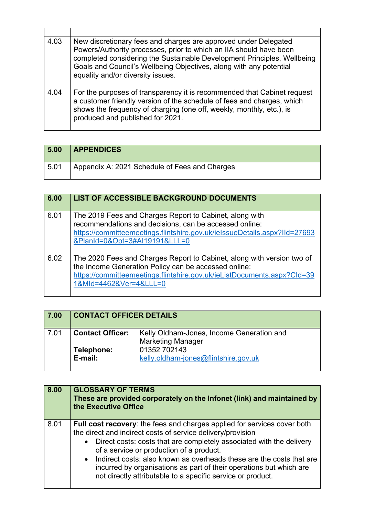| 4.03 | New discretionary fees and charges are approved under Delegated<br>Powers/Authority processes, prior to which an IIA should have been<br>completed considering the Sustainable Development Principles, Wellbeing<br>Goals and Council's Wellbeing Objectives, along with any potential<br>equality and/or diversity issues. |
|------|-----------------------------------------------------------------------------------------------------------------------------------------------------------------------------------------------------------------------------------------------------------------------------------------------------------------------------|
| 4.04 | For the purposes of transparency it is recommended that Cabinet request<br>a customer friendly version of the schedule of fees and charges, which<br>shows the frequency of charging (one off, weekly, monthly, etc.), is<br>produced and published for 2021.                                                               |

 $\mathbf{r}$ 

| 5.00 | <b>APPENDICES</b>                             |
|------|-----------------------------------------------|
| 5.01 | Appendix A: 2021 Schedule of Fees and Charges |

| 6.00 | <b>LIST OF ACCESSIBLE BACKGROUND DOCUMENTS</b>                                                                                                                                                                                      |
|------|-------------------------------------------------------------------------------------------------------------------------------------------------------------------------------------------------------------------------------------|
| 6.01 | The 2019 Fees and Charges Report to Cabinet, along with<br>recommendations and decisions, can be accessed online:<br>https://committeemeetings.flintshire.gov.uk/ielssueDetails.aspx?IId=27693<br>&PlanId=0&Opt=3#AI19191&LLL=0     |
| 6.02 | The 2020 Fees and Charges Report to Cabinet, along with version two of<br>the Income Generation Policy can be accessed online:<br>https://committeemeetings.flintshire.gov.uk/ieListDocuments.aspx?Cld=39<br>1&MId=4462&Ver=4&LLL=0 |

| 7.00 | <b>CONTACT OFFICER DETAILS</b> |                                                                       |
|------|--------------------------------|-----------------------------------------------------------------------|
| 7.01 | <b>Contact Officer:</b>        | Kelly Oldham-Jones, Income Generation and<br><b>Marketing Manager</b> |
|      | Telephone:<br>E-mail:          | 01352 702143<br>kelly.oldham-jones@flintshire.gov.uk                  |

| 8.00 | <b>GLOSSARY OF TERMS</b><br>These are provided corporately on the Infonet (link) and maintained by<br>the Executive Office                                                                                                                                                                                                                                                                                                                                                           |
|------|--------------------------------------------------------------------------------------------------------------------------------------------------------------------------------------------------------------------------------------------------------------------------------------------------------------------------------------------------------------------------------------------------------------------------------------------------------------------------------------|
| 8.01 | <b>Full cost recovery:</b> the fees and charges applied for services cover both<br>the direct and indirect costs of service delivery/provision<br>• Direct costs: costs that are completely associated with the delivery<br>of a service or production of a product.<br>• Indirect costs: also known as overheads these are the costs that are<br>incurred by organisations as part of their operations but which are<br>not directly attributable to a specific service or product. |